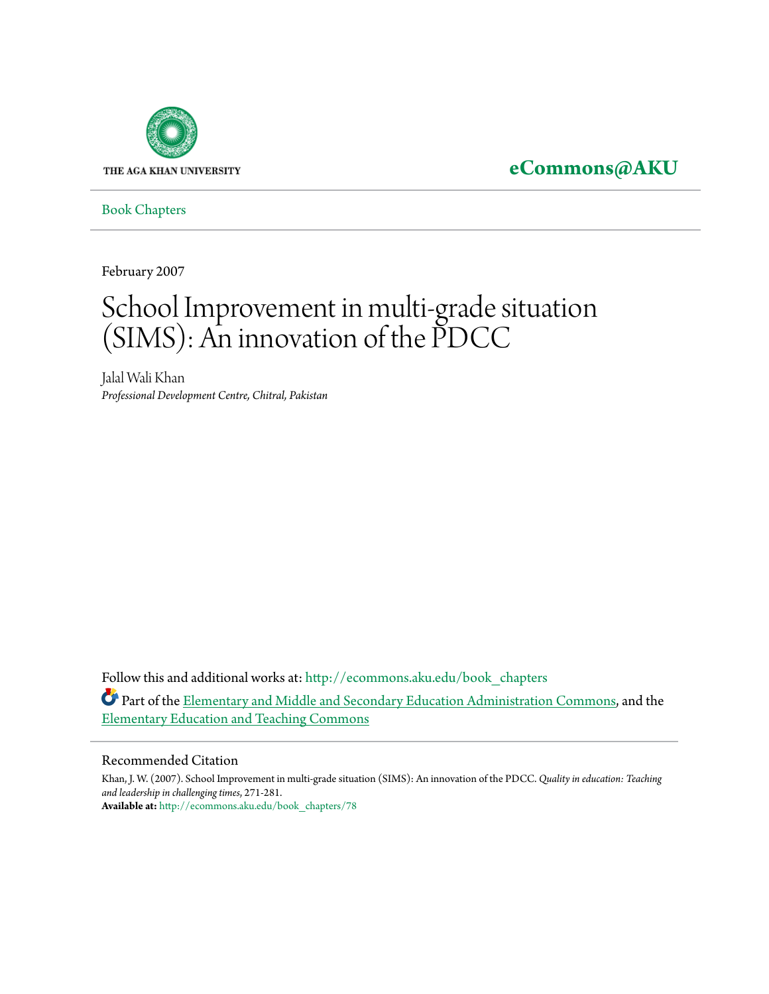

**[eCommons@AKU](http://ecommons.aku.edu?utm_source=ecommons.aku.edu%2Fbook_chapters%2F78&utm_medium=PDF&utm_campaign=PDFCoverPages)**

[Book Chapters](http://ecommons.aku.edu/book_chapters?utm_source=ecommons.aku.edu%2Fbook_chapters%2F78&utm_medium=PDF&utm_campaign=PDFCoverPages)

February 2007

# School Improvement in multi-grade situation (SIMS): An innovation of the PDCC

Jalal Wali Khan *Professional Development Centre, Chitral, Pakistan*

Follow this and additional works at: [http://ecommons.aku.edu/book\\_chapters](http://ecommons.aku.edu/book_chapters?utm_source=ecommons.aku.edu%2Fbook_chapters%2F78&utm_medium=PDF&utm_campaign=PDFCoverPages) Part of the **Elementary and Middle and Secondary Education** Administration Commons, and the [Elementary Education and Teaching Commons](http://network.bepress.com/hgg/discipline/805?utm_source=ecommons.aku.edu%2Fbook_chapters%2F78&utm_medium=PDF&utm_campaign=PDFCoverPages)

#### Recommended Citation

Khan, J. W. (2007). School Improvement in multi-grade situation (SIMS): An innovation of the PDCC. *Quality in education: Teaching and leadership in challenging times*, 271-281. **Available at:** [http://ecommons.aku.edu/book\\_chapters/78](http://ecommons.aku.edu/book_chapters/78)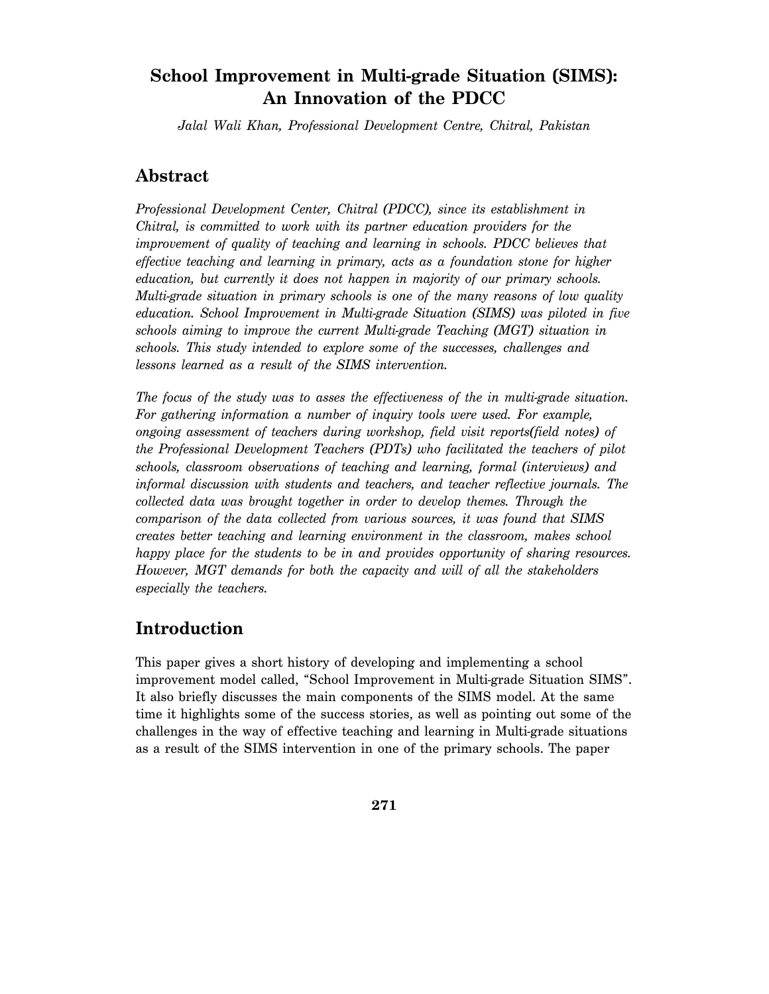# **School Improvement in Multi-grade Situation (SIMS): An Innovation of the PDCC**

*Jalal Wali Khan, Professional Development Centre, Chitral, Pakistan* 

### **Abstract**

*Professional Development Center, Chitral (PDCC), since its establishment in Chitral, is committed to work with its partner education providers for the improvement of quality of teaching and learning in schools. PDCC believes that effective teaching and learning in primary, acts as a foundation stone for higher education, but currently it does not happen in majority of our primary schools. Multi-grade situation in primary schools is one of the many reasons of low quality education. School Improvement in Multi-grade Situation (SIMS) was piloted in five schools aiming to improve the current Multi-grade Teaching (MGT) situation in schools. This study intended to explore some of the successes, challenges and lessons learned as a result of the SIMS intervention.* 

*The focus of the study was to asses the effectiveness of the in multi-grade situation. For gathering information a number of inquiry tools were used. For example, ongoing assessment of teachers during workshop, field visit reports(field notes) of the Professional Development Teachers (PDTs) who facilitated the teachers of pilot schools, classroom observations of teaching and learning, formal (interviews) and informal discussion with students and teachers, and teacher reflective journals. The collected data was brought together in order to develop themes. Through the comparison of the data collected from various sources, it was found that SIMS creates better teaching and learning environment in the classroom, makes school happy place for the students to be in and provides opportunity of sharing resources. However, MGT demands for both the capacity and will of all the stakeholders especially the teachers.* 

# **Introduction**

This paper gives a short history of developing and implementing a school improvement model called, "School Improvement in Multi-grade Situation SIMS". It also briefly discusses the main components of the SIMS model. At the same time it highlights some of the success stories, as well as pointing out some of the challenges in the way of effective teaching and learning in Multi-grade situations as a result of the SIMS intervention in one of the primary schools. The paper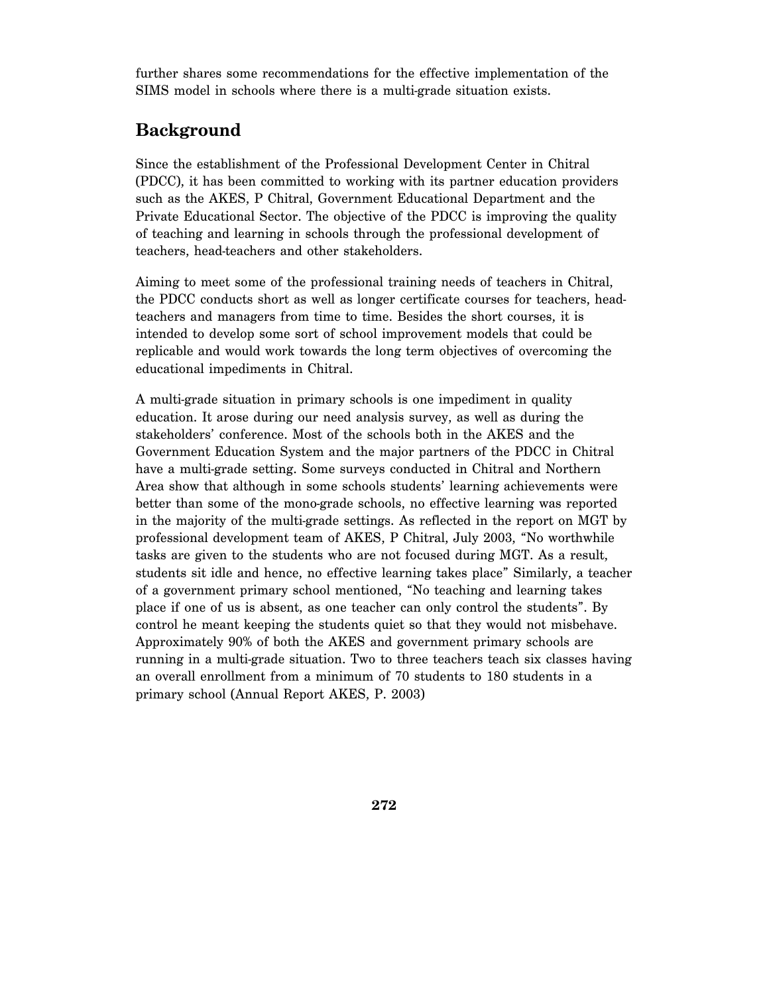further shares some recommendations for the effective implementation of the SIMS model in schools where there is a multi-grade situation exists.

# **Background**

Since the establishment of the Professional Development Center in Chitral (PDCC), it has been committed to working with its partner education providers such as the AKES, P Chitral, Government Educational Department and the Private Educational Sector. The objective of the PDCC is improving the quality of teaching and learning in schools through the professional development of teachers, head-teachers and other stakeholders.

Aiming to meet some of the professional training needs of teachers in Chitral, the PDCC conducts short as well as longer certificate courses for teachers, headteachers and managers from time to time. Besides the short courses, it is intended to develop some sort of school improvement models that could be replicable and would work towards the long term objectives of overcoming the educational impediments in Chitral.

A multi-grade situation in primary schools is one impediment in quality education. It arose during our need analysis survey, as well as during the stakeholders' conference. Most of the schools both in the AKES and the Government Education System and the major partners of the PDCC in Chitral have a multi-grade setting. Some surveys conducted in Chitral and Northern Area show that although in some schools students' learning achievements were better than some of the mono-grade schools, no effective learning was reported in the majority of the multi-grade settings. As reflected in the report on MGT by professional development team of AKES, P Chitral, July 2003, "No worthwhile tasks are given to the students who are not focused during MGT. As a result, students sit idle and hence, no effective learning takes place" Similarly, a teacher of a government primary school mentioned, "No teaching and learning takes place if one of us is absent, as one teacher can only control the students". By control he meant keeping the students quiet so that they would not misbehave. Approximately 90% of both the AKES and government primary schools are running in a multi-grade situation. Two to three teachers teach six classes having an overall enrollment from a minimum of 70 students to 180 students in a primary school (Annual Report AKES, P. 2003)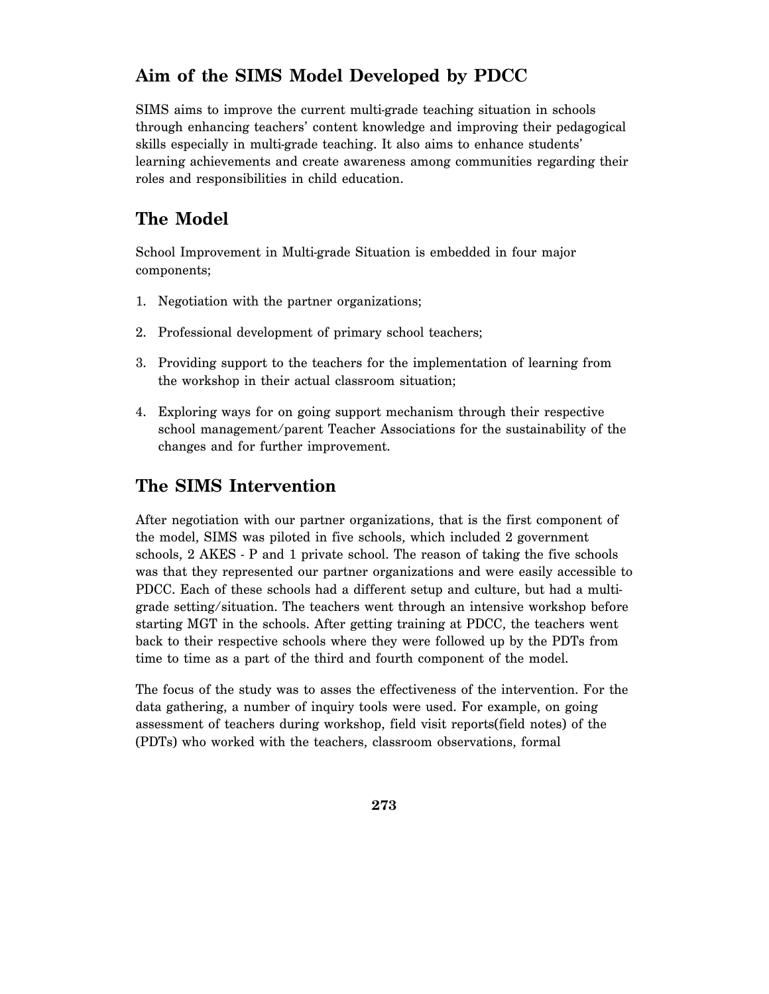# **Aim of the SIMS Model Developed by PDCC**

SIMS aims to improve the current multi-grade teaching situation in schools through enhancing teachers' content knowledge and improving their pedagogical skills especially in multi-grade teaching. It also aims to enhance students' learning achievements and create awareness among communities regarding their roles and responsibilities in child education.

# **The Model**

School Improvement in Multi-grade Situation is embedded in four major components;

- 1. Negotiation with the partner organizations;
- 2. Professional development of primary school teachers;
- 3. Providing support to the teachers for the implementation of learning from the workshop in their actual classroom situation;
- 4. Exploring ways for on going support mechanism through their respective school management/parent Teacher Associations for the sustainability of the changes and for further improvement.

# **The SIMS Intervention**

After negotiation with our partner organizations, that is the first component of the model, SIMS was piloted in five schools, which included 2 government schools, 2 AKES - P and 1 private school. The reason of taking the five schools was that they represented our partner organizations and were easily accessible to PDCC. Each of these schools had a different setup and culture, but had a multigrade setting/situation. The teachers went through an intensive workshop before starting MGT in the schools. After getting training at PDCC, the teachers went back to their respective schools where they were followed up by the PDTs from time to time as a part of the third and fourth component of the model.

The focus of the study was to asses the effectiveness of the intervention. For the data gathering, a number of inquiry tools were used. For example, on going assessment of teachers during workshop, field visit reports(field notes) of the (PDTs) who worked with the teachers, classroom observations, formal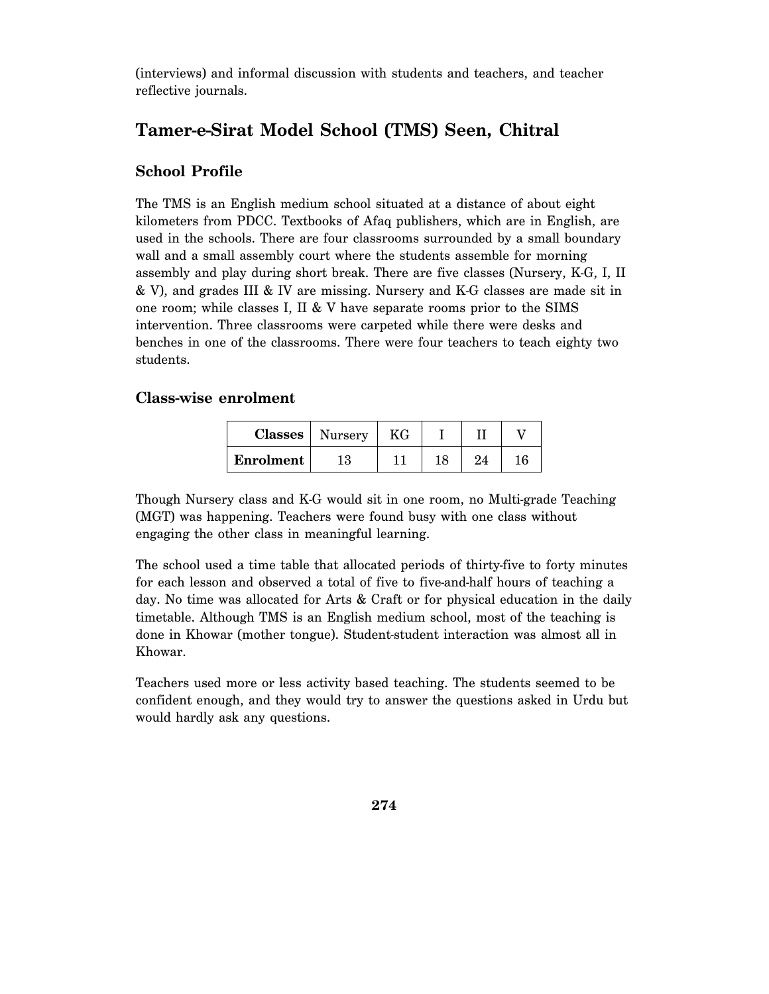(interviews) and informal discussion with students and teachers, and teacher reflective journals.

# **Tamer-e-Sirat Model School (TMS) Seen, Chitral**

### **School Profile**

The TMS is an English medium school situated at a distance of about eight kilometers from PDCC. Textbooks of Afaq publishers, which are in English, are used in the schools. There are four classrooms surrounded by a small boundary wall and a small assembly court where the students assemble for morning assembly and play during short break. There are five classes (Nursery, K-G, I, II & V), and grades III & IV are missing. Nursery and K-G classes are made sit in one room; while classes I, II & V have separate rooms prior to the SIMS intervention. Three classrooms were carpeted while there were desks and benches in one of the classrooms. There were four teachers to teach eighty two students.

#### **Class-wise enrolment**

| Classes   | Nursery | ΚG |     |     |    |
|-----------|---------|----|-----|-----|----|
| Enrolment | 13      |    | 1 O | 9.4 | 16 |

Though Nursery class and K-G would sit in one room, no Multi-grade Teaching (MGT) was happening. Teachers were found busy with one class without engaging the other class in meaningful learning.

The school used a time table that allocated periods of thirty-five to forty minutes for each lesson and observed a total of five to five-and-half hours of teaching a day. No time was allocated for Arts & Craft or for physical education in the daily timetable. Although TMS is an English medium school, most of the teaching is done in Khowar (mother tongue). Student-student interaction was almost all in Khowar.

Teachers used more or less activity based teaching. The students seemed to be confident enough, and they would try to answer the questions asked in Urdu but would hardly ask any questions.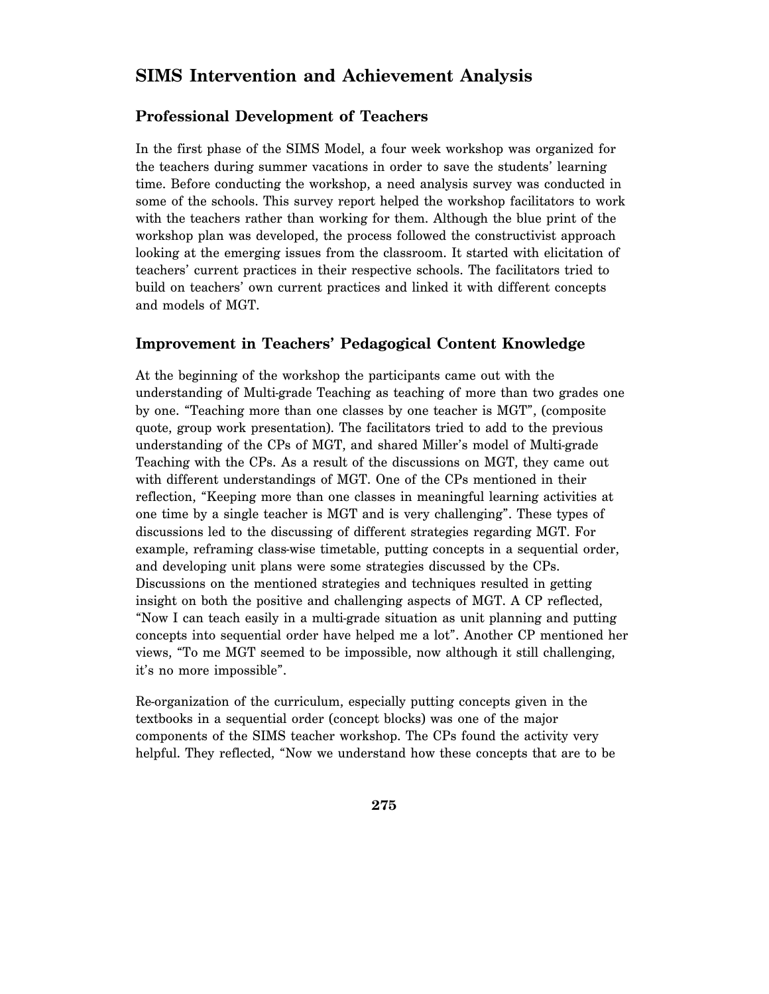### **SIMS Intervention and Achievement Analysis**

### **Professional Development of Teachers**

In the first phase of the SIMS Model, a four week workshop was organized for the teachers during summer vacations in order to save the students' learning time. Before conducting the workshop, a need analysis survey was conducted in some of the schools. This survey report helped the workshop facilitators to work with the teachers rather than working for them. Although the blue print of the workshop plan was developed, the process followed the constructivist approach looking at the emerging issues from the classroom. It started with elicitation of teachers' current practices in their respective schools. The facilitators tried to build on teachers' own current practices and linked it with different concepts and models of MGT.

#### **Improvement in Teachers' Pedagogical Content Knowledge**

At the beginning of the workshop the participants came out with the understanding of Multi-grade Teaching as teaching of more than two grades one by one. "Teaching more than one classes by one teacher is MGT", (composite quote, group work presentation). The facilitators tried to add to the previous understanding of the CPs of MGT, and shared Miller's model of Multi-grade Teaching with the CPs. As a result of the discussions on MGT, they came out with different understandings of MGT. One of the CPs mentioned in their reflection, "Keeping more than one classes in meaningful learning activities at one time by a single teacher is MGT and is very challenging". These types of discussions led to the discussing of different strategies regarding MGT. For example, reframing class-wise timetable, putting concepts in a sequential order, and developing unit plans were some strategies discussed by the CPs. Discussions on the mentioned strategies and techniques resulted in getting insight on both the positive and challenging aspects of MGT. A CP reflected, "Now I can teach easily in a multi-grade situation as unit planning and putting concepts into sequential order have helped me a lot". Another CP mentioned her views, "To me MGT seemed to be impossible, now although it still challenging, it's no more impossible".

Re-organization of the curriculum, especially putting concepts given in the textbooks in a sequential order (concept blocks) was one of the major components of the SIMS teacher workshop. The CPs found the activity very helpful. They reflected, "Now we understand how these concepts that are to be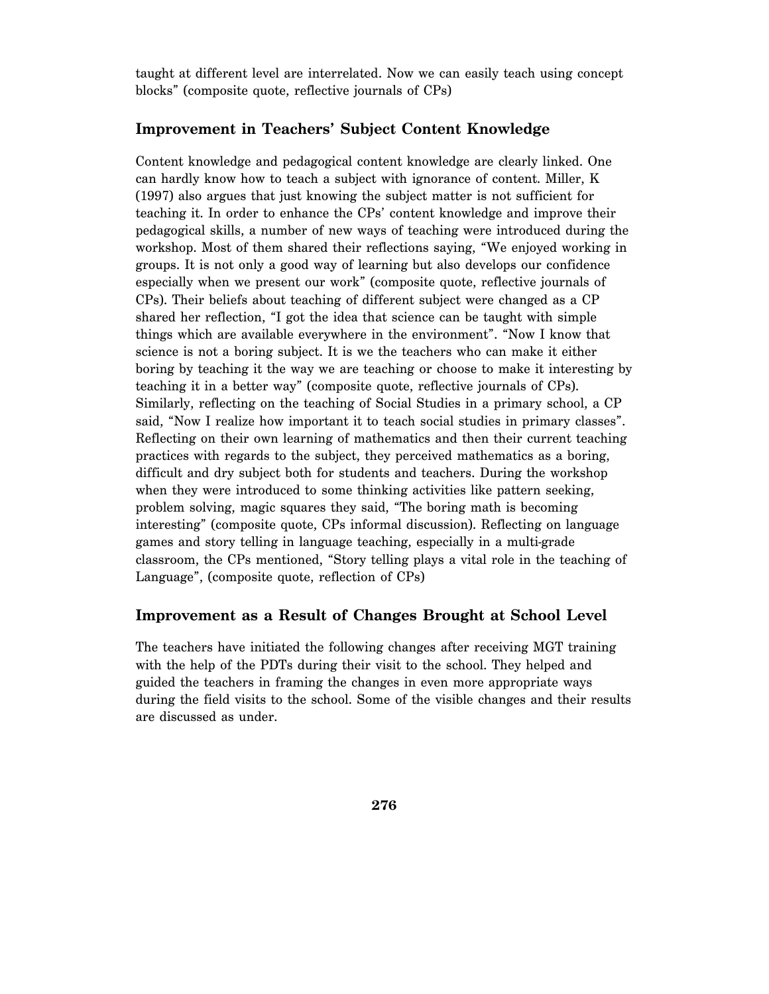taught at different level are interrelated. Now we can easily teach using concept blocks" (composite quote, reflective journals of CPs)

#### **Improvement in Teachers' Subject Content Knowledge**

Content knowledge and pedagogical content knowledge are clearly linked. One can hardly know how to teach a subject with ignorance of content. Miller, K (1997) also argues that just knowing the subject matter is not sufficient for teaching it. In order to enhance the CPs' content knowledge and improve their pedagogical skills, a number of new ways of teaching were introduced during the workshop. Most of them shared their reflections saying, "We enjoyed working in groups. It is not only a good way of learning but also develops our confidence especially when we present our work" (composite quote, reflective journals of CPs). Their beliefs about teaching of different subject were changed as a CP shared her reflection, "I got the idea that science can be taught with simple things which are available everywhere in the environment". "Now I know that science is not a boring subject. It is we the teachers who can make it either boring by teaching it the way we are teaching or choose to make it interesting by teaching it in a better way" (composite quote, reflective journals of CPs). Similarly, reflecting on the teaching of Social Studies in a primary school, a CP said, "Now I realize how important it to teach social studies in primary classes". Reflecting on their own learning of mathematics and then their current teaching practices with regards to the subject, they perceived mathematics as a boring, difficult and dry subject both for students and teachers. During the workshop when they were introduced to some thinking activities like pattern seeking, problem solving, magic squares they said, "The boring math is becoming interesting" (composite quote, CPs informal discussion). Reflecting on language games and story telling in language teaching, especially in a multi-grade classroom, the CPs mentioned, "Story telling plays a vital role in the teaching of Language", (composite quote, reflection of CPs)

#### **Improvement as a Result of Changes Brought at School Level**

The teachers have initiated the following changes after receiving MGT training with the help of the PDTs during their visit to the school. They helped and guided the teachers in framing the changes in even more appropriate ways during the field visits to the school. Some of the visible changes and their results are discussed as under.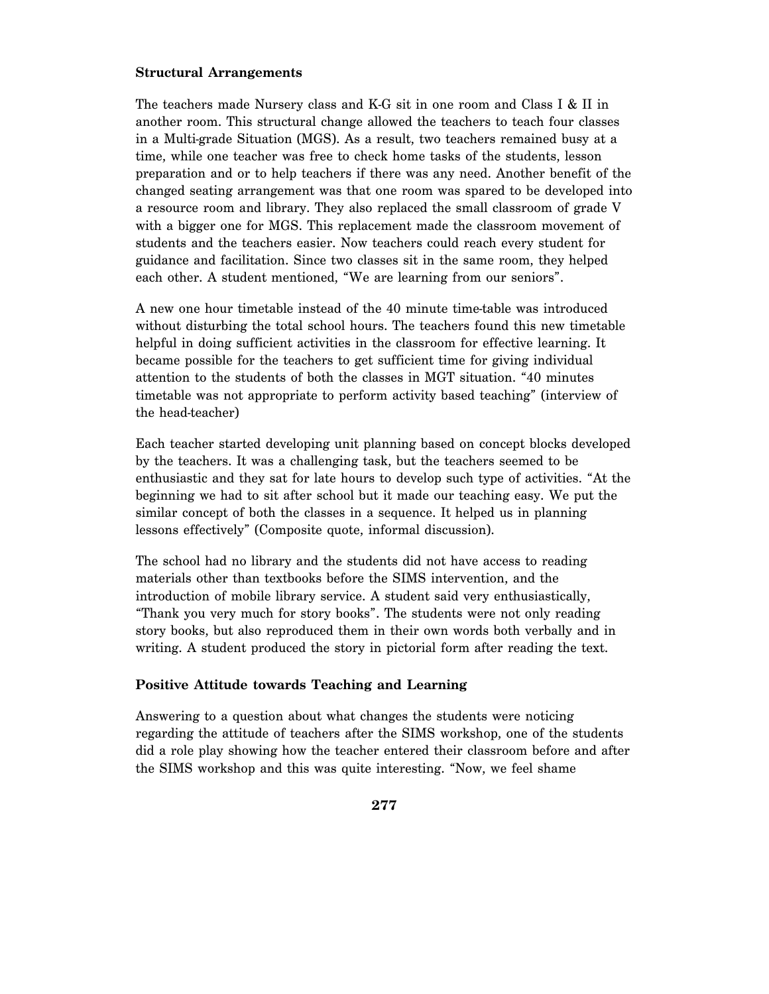#### **Structural Arrangements**

The teachers made Nursery class and K-G sit in one room and Class I & II in another room. This structural change allowed the teachers to teach four classes in a Multi-grade Situation (MGS). As a result, two teachers remained busy at a time, while one teacher was free to check home tasks of the students, lesson preparation and or to help teachers if there was any need. Another benefit of the changed seating arrangement was that one room was spared to be developed into a resource room and library. They also replaced the small classroom of grade V with a bigger one for MGS. This replacement made the classroom movement of students and the teachers easier. Now teachers could reach every student for guidance and facilitation. Since two classes sit in the same room, they helped each other. A student mentioned, "We are learning from our seniors".

A new one hour timetable instead of the 40 minute time-table was introduced without disturbing the total school hours. The teachers found this new timetable helpful in doing sufficient activities in the classroom for effective learning. It became possible for the teachers to get sufficient time for giving individual attention to the students of both the classes in MGT situation. "40 minutes timetable was not appropriate to perform activity based teaching" (interview of the head-teacher)

Each teacher started developing unit planning based on concept blocks developed by the teachers. It was a challenging task, but the teachers seemed to be enthusiastic and they sat for late hours to develop such type of activities. "At the beginning we had to sit after school but it made our teaching easy. We put the similar concept of both the classes in a sequence. It helped us in planning lessons effectively" (Composite quote, informal discussion).

The school had no library and the students did not have access to reading materials other than textbooks before the SIMS intervention, and the introduction of mobile library service. A student said very enthusiastically, "Thank you very much for story books". The students were not only reading story books, but also reproduced them in their own words both verbally and in writing. A student produced the story in pictorial form after reading the text.

#### **Positive Attitude towards Teaching and Learning**

Answering to a question about what changes the students were noticing regarding the attitude of teachers after the SIMS workshop, one of the students did a role play showing how the teacher entered their classroom before and after the SIMS workshop and this was quite interesting. "Now, we feel shame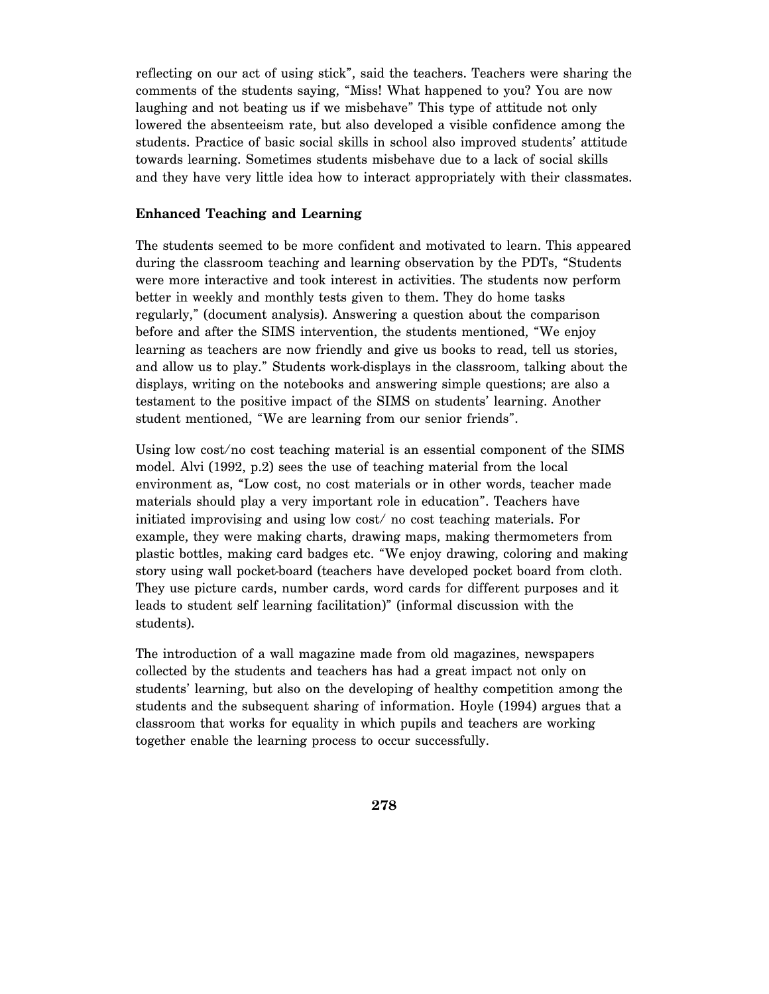reflecting on our act of using stick", said the teachers. Teachers were sharing the comments of the students saying, "Miss! What happened to you? You are now laughing and not beating us if we misbehave" This type of attitude not only lowered the absenteeism rate, but also developed a visible confidence among the students. Practice of basic social skills in school also improved students' attitude towards learning. Sometimes students misbehave due to a lack of social skills and they have very little idea how to interact appropriately with their classmates.

#### **Enhanced Teaching and Learning**

The students seemed to be more confident and motivated to learn. This appeared during the classroom teaching and learning observation by the PDTs, "Students were more interactive and took interest in activities. The students now perform better in weekly and monthly tests given to them. They do home tasks regularly," (document analysis). Answering a question about the comparison before and after the SIMS intervention, the students mentioned, "We enjoy learning as teachers are now friendly and give us books to read, tell us stories, and allow us to play." Students work-displays in the classroom, talking about the displays, writing on the notebooks and answering simple questions; are also a testament to the positive impact of the SIMS on students' learning. Another student mentioned, "We are learning from our senior friends".

Using low cost/no cost teaching material is an essential component of the SIMS model. Alvi (1992, p.2) sees the use of teaching material from the local environment as, "Low cost, no cost materials or in other words, teacher made materials should play a very important role in education". Teachers have initiated improvising and using low cost/ no cost teaching materials. For example, they were making charts, drawing maps, making thermometers from plastic bottles, making card badges etc. "We enjoy drawing, coloring and making story using wall pocket-board (teachers have developed pocket board from cloth. They use picture cards, number cards, word cards for different purposes and it leads to student self learning facilitation)" (informal discussion with the students).

The introduction of a wall magazine made from old magazines, newspapers collected by the students and teachers has had a great impact not only on students' learning, but also on the developing of healthy competition among the students and the subsequent sharing of information. Hoyle (1994) argues that a classroom that works for equality in which pupils and teachers are working together enable the learning process to occur successfully.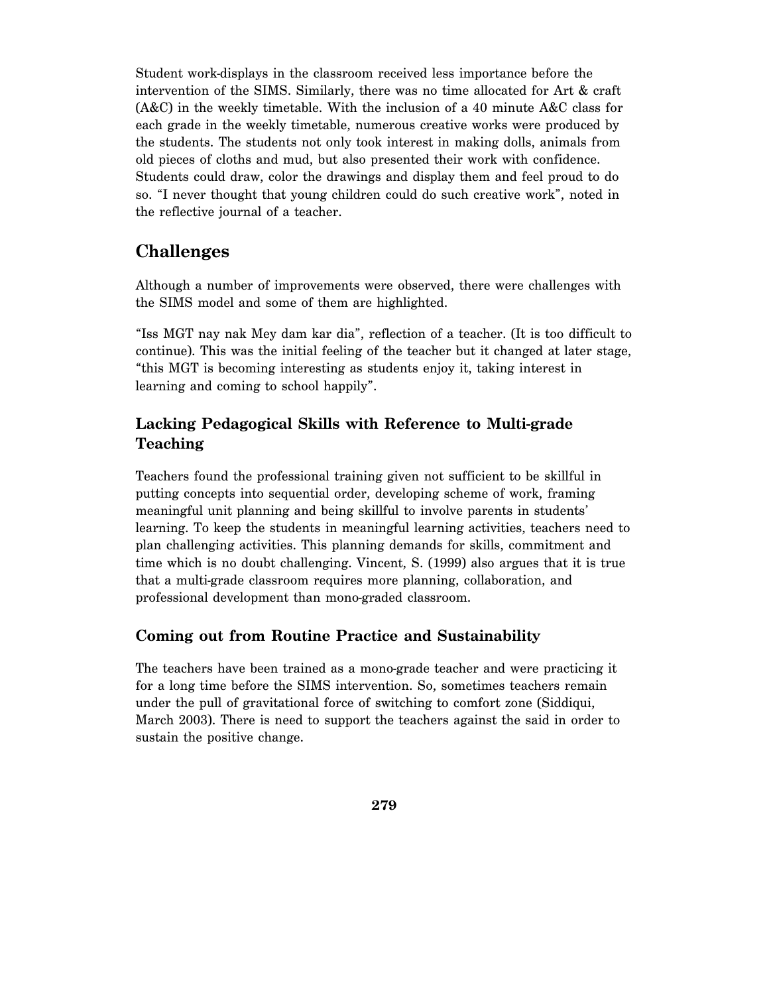Student work-displays in the classroom received less importance before the intervention of the SIMS. Similarly, there was no time allocated for Art & craft (A&C) in the weekly timetable. With the inclusion of a 40 minute A&C class for each grade in the weekly timetable, numerous creative works were produced by the students. The students not only took interest in making dolls, animals from old pieces of cloths and mud, but also presented their work with confidence. Students could draw, color the drawings and display them and feel proud to do so. "I never thought that young children could do such creative work", noted in the reflective journal of a teacher.

### **Challenges**

Although a number of improvements were observed, there were challenges with the SIMS model and some of them are highlighted.

"Iss MGT nay nak Mey dam kar dia", reflection of a teacher. (It is too difficult to continue). This was the initial feeling of the teacher but it changed at later stage, "this MGT is becoming interesting as students enjoy it, taking interest in learning and coming to school happily".

### **Lacking Pedagogical Skills with Reference to Multi-grade Teaching**

Teachers found the professional training given not sufficient to be skillful in putting concepts into sequential order, developing scheme of work, framing meaningful unit planning and being skillful to involve parents in students' learning. To keep the students in meaningful learning activities, teachers need to plan challenging activities. This planning demands for skills, commitment and time which is no doubt challenging. Vincent, S. (1999) also argues that it is true that a multi-grade classroom requires more planning, collaboration, and professional development than mono-graded classroom.

### **Coming out from Routine Practice and Sustainability**

The teachers have been trained as a mono-grade teacher and were practicing it for a long time before the SIMS intervention. So, sometimes teachers remain under the pull of gravitational force of switching to comfort zone (Siddiqui, March 2003). There is need to support the teachers against the said in order to sustain the positive change.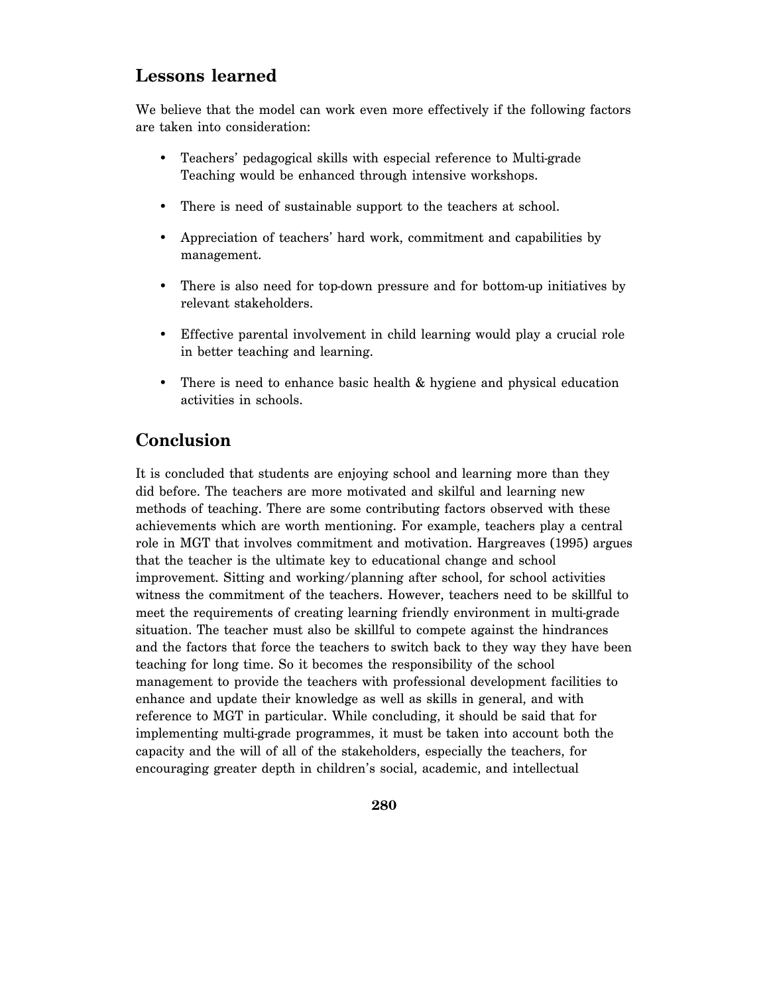### **Lessons learned**

We believe that the model can work even more effectively if the following factors are taken into consideration:

- Teachers' pedagogical skills with especial reference to Multi-grade Teaching would be enhanced through intensive workshops.
- There is need of sustainable support to the teachers at school.
- Appreciation of teachers' hard work, commitment and capabilities by management.
- There is also need for top-down pressure and for bottom-up initiatives by relevant stakeholders.
- Effective parental involvement in child learning would play a crucial role in better teaching and learning.
- There is need to enhance basic health  $\&$  hygiene and physical education activities in schools.

### **Conclusion**

It is concluded that students are enjoying school and learning more than they did before. The teachers are more motivated and skilful and learning new methods of teaching. There are some contributing factors observed with these achievements which are worth mentioning. For example, teachers play a central role in MGT that involves commitment and motivation. Hargreaves (1995) argues that the teacher is the ultimate key to educational change and school improvement. Sitting and working/planning after school, for school activities witness the commitment of the teachers. However, teachers need to be skillful to meet the requirements of creating learning friendly environment in multi-grade situation. The teacher must also be skillful to compete against the hindrances and the factors that force the teachers to switch back to they way they have been teaching for long time. So it becomes the responsibility of the school management to provide the teachers with professional development facilities to enhance and update their knowledge as well as skills in general, and with reference to MGT in particular. While concluding, it should be said that for implementing multi-grade programmes, it must be taken into account both the capacity and the will of all of the stakeholders, especially the teachers, for encouraging greater depth in children's social, academic, and intellectual